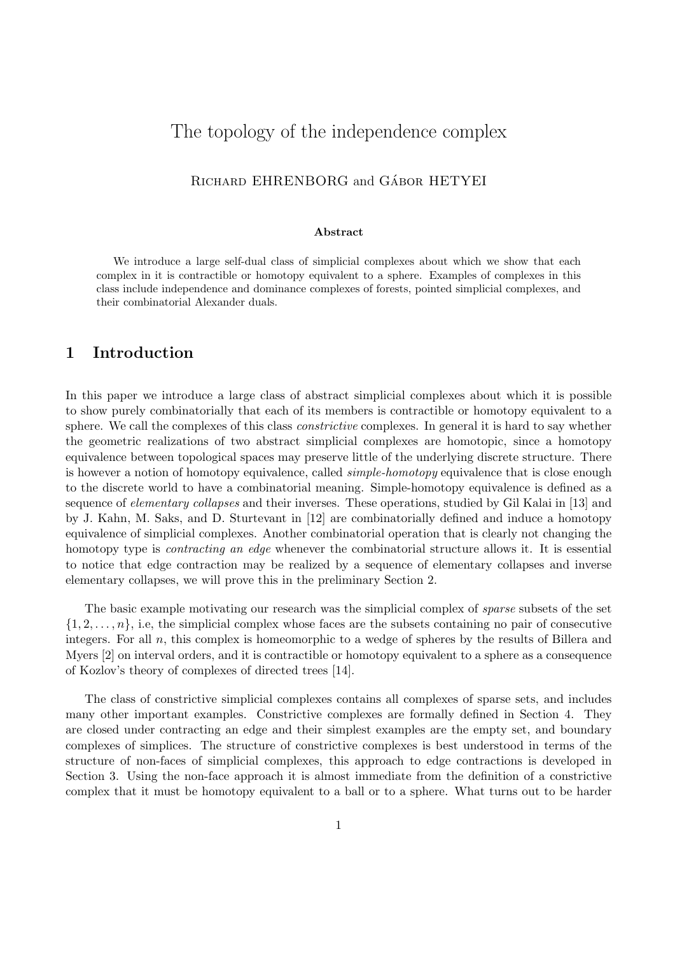# The topology of the independence complex

### RICHARD EHRENBORG and GÁBOR HETYEI

#### Abstract

We introduce a large self-dual class of simplicial complexes about which we show that each complex in it is contractible or homotopy equivalent to a sphere. Examples of complexes in this class include independence and dominance complexes of forests, pointed simplicial complexes, and their combinatorial Alexander duals.

### 1 Introduction

In this paper we introduce a large class of abstract simplicial complexes about which it is possible to show purely combinatorially that each of its members is contractible or homotopy equivalent to a sphere. We call the complexes of this class *constrictive* complexes. In general it is hard to say whether the geometric realizations of two abstract simplicial complexes are homotopic, since a homotopy equivalence between topological spaces may preserve little of the underlying discrete structure. There is however a notion of homotopy equivalence, called *simple-homotopy* equivalence that is close enough to the discrete world to have a combinatorial meaning. Simple-homotopy equivalence is defined as a sequence of *elementary collapses* and their inverses. These operations, studied by Gil Kalai in [13] and by J. Kahn, M. Saks, and D. Sturtevant in [12] are combinatorially defined and induce a homotopy equivalence of simplicial complexes. Another combinatorial operation that is clearly not changing the homotopy type is *contracting an edge* whenever the combinatorial structure allows it. It is essential to notice that edge contraction may be realized by a sequence of elementary collapses and inverse elementary collapses, we will prove this in the preliminary Section 2.

The basic example motivating our research was the simplicial complex of *sparse* subsets of the set  $\{1, 2, \ldots, n\}$ , i.e, the simplicial complex whose faces are the subsets containing no pair of consecutive integers. For all n, this complex is homeomorphic to a wedge of spheres by the results of Billera and Myers [2] on interval orders, and it is contractible or homotopy equivalent to a sphere as a consequence of Kozlov's theory of complexes of directed trees [14].

The class of constrictive simplicial complexes contains all complexes of sparse sets, and includes many other important examples. Constrictive complexes are formally defined in Section 4. They are closed under contracting an edge and their simplest examples are the empty set, and boundary complexes of simplices. The structure of constrictive complexes is best understood in terms of the structure of non-faces of simplicial complexes, this approach to edge contractions is developed in Section 3. Using the non-face approach it is almost immediate from the definition of a constrictive complex that it must be homotopy equivalent to a ball or to a sphere. What turns out to be harder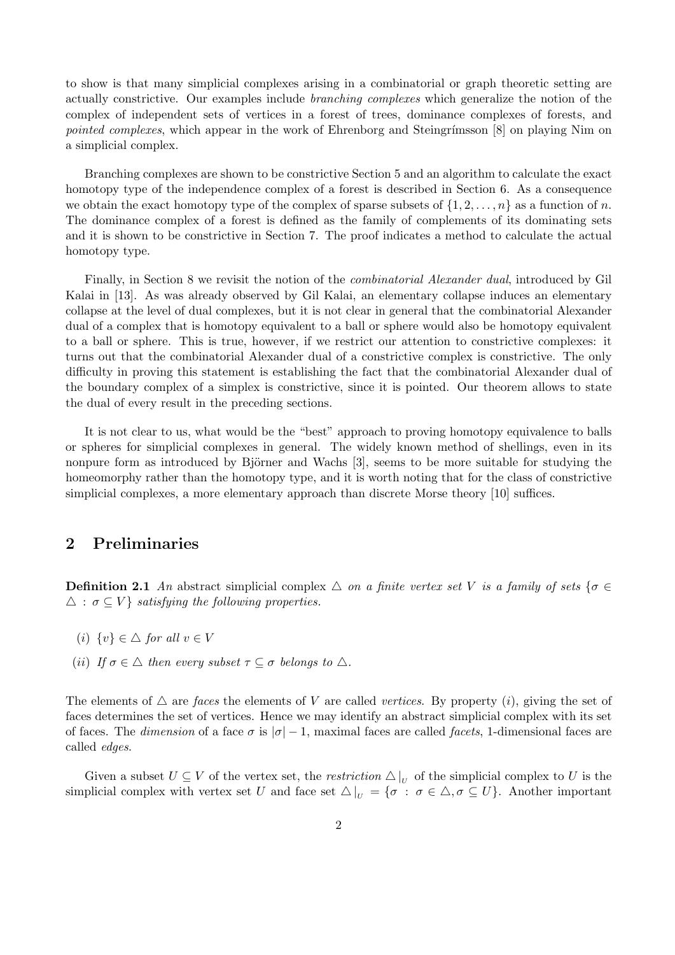to show is that many simplicial complexes arising in a combinatorial or graph theoretic setting are actually constrictive. Our examples include branching complexes which generalize the notion of the complex of independent sets of vertices in a forest of trees, dominance complexes of forests, and pointed complexes, which appear in the work of Ehrenborg and Steingrímsson [8] on playing Nim on a simplicial complex.

Branching complexes are shown to be constrictive Section 5 and an algorithm to calculate the exact homotopy type of the independence complex of a forest is described in Section 6. As a consequence we obtain the exact homotopy type of the complex of sparse subsets of  $\{1, 2, \ldots, n\}$  as a function of n. The dominance complex of a forest is defined as the family of complements of its dominating sets and it is shown to be constrictive in Section 7. The proof indicates a method to calculate the actual homotopy type.

Finally, in Section 8 we revisit the notion of the combinatorial Alexander dual, introduced by Gil Kalai in [13]. As was already observed by Gil Kalai, an elementary collapse induces an elementary collapse at the level of dual complexes, but it is not clear in general that the combinatorial Alexander dual of a complex that is homotopy equivalent to a ball or sphere would also be homotopy equivalent to a ball or sphere. This is true, however, if we restrict our attention to constrictive complexes: it turns out that the combinatorial Alexander dual of a constrictive complex is constrictive. The only difficulty in proving this statement is establishing the fact that the combinatorial Alexander dual of the boundary complex of a simplex is constrictive, since it is pointed. Our theorem allows to state the dual of every result in the preceding sections.

It is not clear to us, what would be the "best" approach to proving homotopy equivalence to balls or spheres for simplicial complexes in general. The widely known method of shellings, even in its nonpure form as introduced by Björner and Wachs [3], seems to be more suitable for studying the homeomorphy rather than the homotopy type, and it is worth noting that for the class of constrictive simplicial complexes, a more elementary approach than discrete Morse theory [10] suffices.

## 2 Preliminaries

**Definition 2.1** An abstract simplicial complex  $\triangle$  on a finite vertex set V is a family of sets { $\sigma \in$  $\Delta$ :  $\sigma \subset V$  *satisfying the following properties.* 

- (i)  $\{v\} \in \triangle$  for all  $v \in V$
- (ii) If  $\sigma \in \Delta$  then every subset  $\tau \subseteq \sigma$  belongs to  $\Delta$ .

The elements of  $\triangle$  are faces the elements of V are called vertices. By property (i), giving the set of faces determines the set of vertices. Hence we may identify an abstract simplicial complex with its set of faces. The dimension of a face  $\sigma$  is  $|\sigma| - 1$ , maximal faces are called facets, 1-dimensional faces are called edges.

Given a subset  $U \subseteq V$  of the vertex set, the *restriction*  $\Delta|_U$  of the simplicial complex to U is the simplicial complex with vertex set U and face set  $\Delta|_U = {\sigma : \sigma \in \Delta, \sigma \subseteq U}$ . Another important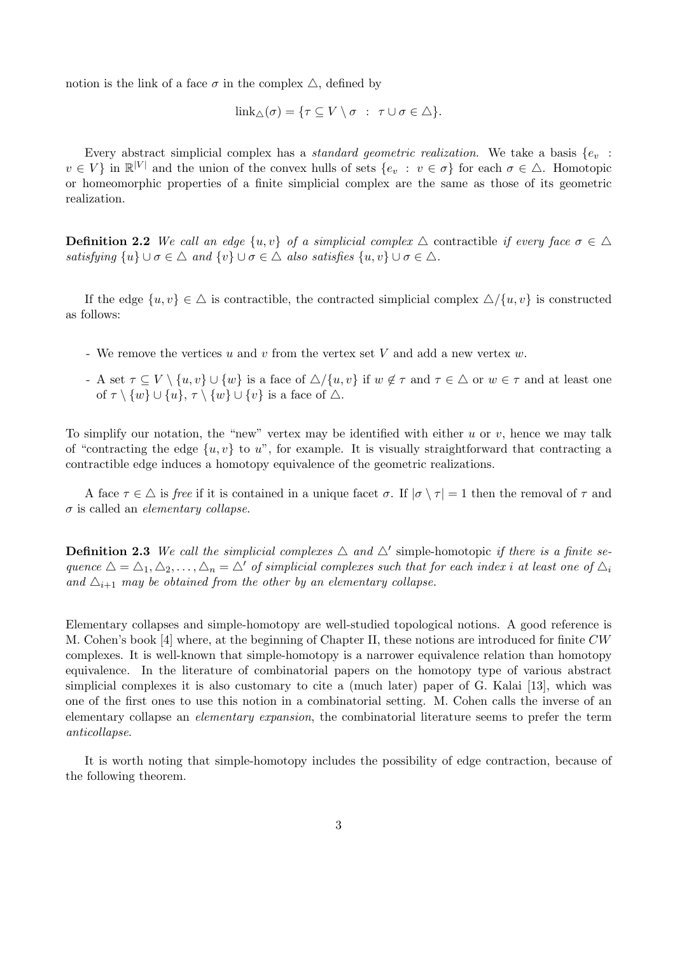notion is the link of a face  $\sigma$  in the complex  $\Delta$ , defined by

$$
\mathrm{link}_{\triangle}(\sigma) = \{ \tau \subseteq V \setminus \sigma \; : \; \tau \cup \sigma \in \triangle \}.
$$

Every abstract simplicial complex has a *standard geometric realization*. We take a basis  $\{e_v$ :  $v \in V$  in  $\mathbb{R}^{|V|}$  and the union of the convex hulls of sets  $\{e_v : v \in \sigma\}$  for each  $\sigma \in \Delta$ . Homotopic or homeomorphic properties of a finite simplicial complex are the same as those of its geometric realization.

**Definition 2.2** We call an edge  $\{u, v\}$  of a simplicial complex  $\triangle$  contractible if every face  $\sigma \in \triangle$ satisfying  $\{u\} \cup \sigma \in \Delta$  and  $\{v\} \cup \sigma \in \Delta$  also satisfies  $\{u, v\} \cup \sigma \in \Delta$ .

If the edge  $\{u, v\} \in \Delta$  is contractible, the contracted simplicial complex  $\Delta/\{u, v\}$  is constructed as follows:

- We remove the vertices  $u$  and  $v$  from the vertex set V and add a new vertex  $w$ .
- A set  $\tau \subseteq V \setminus \{u, v\} \cup \{w\}$  is a face of  $\triangle / \{u, v\}$  if  $w \notin \tau$  and  $\tau \in \triangle$  or  $w \in \tau$  and at least one of  $\tau \setminus \{w\} \cup \{u\}, \tau \setminus \{w\} \cup \{v\}$  is a face of  $\triangle$ .

To simplify our notation, the "new" vertex may be identified with either  $u$  or  $v$ , hence we may talk of "contracting the edge  $\{u, v\}$  to u", for example. It is visually straightforward that contracting a contractible edge induces a homotopy equivalence of the geometric realizations.

A face  $\tau \in \triangle$  is free if it is contained in a unique facet  $\sigma$ . If  $|\sigma \setminus \tau| = 1$  then the removal of  $\tau$  and  $\sigma$  is called an *elementary collapse*.

**Definition 2.3** We call the simplicial complexes  $\triangle$  and  $\triangle'$  simple-homotopic if there is a finite sequence  $\Delta = \Delta_1, \Delta_2, \ldots, \Delta_n = \Delta'$  of simplicial complexes such that for each index i at least one of  $\Delta_i$ and  $\Delta_{i+1}$  may be obtained from the other by an elementary collapse.

Elementary collapses and simple-homotopy are well-studied topological notions. A good reference is M. Cohen's book [4] where, at the beginning of Chapter II, these notions are introduced for finite CW complexes. It is well-known that simple-homotopy is a narrower equivalence relation than homotopy equivalence. In the literature of combinatorial papers on the homotopy type of various abstract simplicial complexes it is also customary to cite a (much later) paper of G. Kalai [13], which was one of the first ones to use this notion in a combinatorial setting. M. Cohen calls the inverse of an elementary collapse an *elementary expansion*, the combinatorial literature seems to prefer the term anticollapse.

It is worth noting that simple-homotopy includes the possibility of edge contraction, because of the following theorem.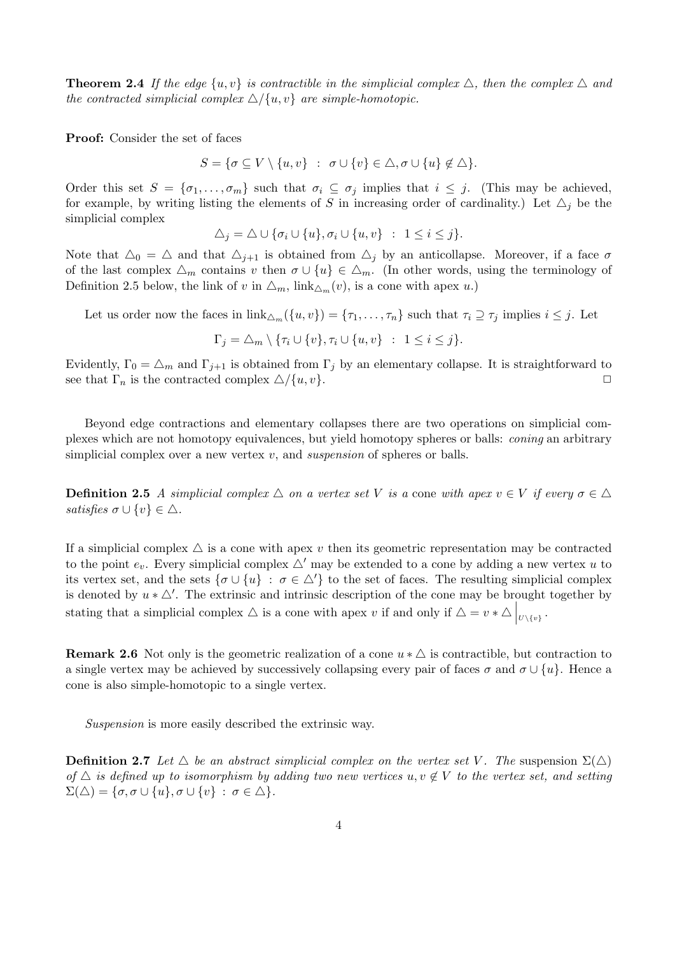**Theorem 2.4** If the edge  $\{u, v\}$  is contractible in the simplicial complex  $\triangle$ , then the complex  $\triangle$  and the contracted simplicial complex  $\triangle/\{u, v\}$  are simple-homotopic.

Proof: Consider the set of faces

$$
S = \{ \sigma \subseteq V \setminus \{u, v\} \ : \ \sigma \cup \{v\} \in \triangle, \sigma \cup \{u\} \notin \triangle \}.
$$

Order this set  $S = \{\sigma_1, \ldots, \sigma_m\}$  such that  $\sigma_i \subseteq \sigma_j$  implies that  $i \leq j$ . (This may be achieved, for example, by writing listing the elements of S in increasing order of cardinality.) Let  $\Delta_i$  be the simplicial complex

$$
\Delta_j = \Delta \cup \{\sigma_i \cup \{u\}, \sigma_i \cup \{u, v\} : 1 \leq i \leq j\}.
$$

Note that  $\Delta_0 = \Delta$  and that  $\Delta_{i+1}$  is obtained from  $\Delta_i$  by an anticollapse. Moreover, if a face  $\sigma$ of the last complex  $\Delta_m$  contains v then  $\sigma \cup \{u\} \in \Delta_m$ . (In other words, using the terminology of Definition 2.5 below, the link of v in  $\Delta_m$ , link $\Delta_m(v)$ , is a cone with apex u.)

Let us order now the faces in  $\text{link}_{\Delta_m}(\{u, v\}) = {\tau_1, \ldots, \tau_n}$  such that  $\tau_i \supseteq \tau_j$  implies  $i \leq j$ . Let

$$
\Gamma_j = \triangle_m \setminus \{\tau_i \cup \{v\}, \tau_i \cup \{u, v\} : 1 \le i \le j\}.
$$

Evidently,  $\Gamma_0 = \Delta_m$  and  $\Gamma_{j+1}$  is obtained from  $\Gamma_j$  by an elementary collapse. It is straightforward to see that  $\Gamma_n$  is the contracted complex  $\triangle/\{u, v\}.$ 

Beyond edge contractions and elementary collapses there are two operations on simplicial complexes which are not homotopy equivalences, but yield homotopy spheres or balls: coning an arbitrary simplicial complex over a new vertex  $v$ , and *suspension* of spheres or balls.

**Definition 2.5** A simplicial complex  $\triangle$  on a vertex set V is a cone with apex  $v \in V$  if every  $\sigma \in \triangle$ satisfies  $\sigma \cup \{v\} \in \triangle$ .

If a simplicial complex  $\triangle$  is a cone with apex v then its geometric representation may be contracted to the point  $e_v$ . Every simplicial complex  $\triangle'$  may be extended to a cone by adding a new vertex u to its vertex set, and the sets  $\{\sigma \cup \{u\} : \sigma \in \Delta'\}$  to the set of faces. The resulting simplicial complex is denoted by  $u * \Delta'$ . The extrinsic and intrinsic description of the cone may be brought together by stating that a simplicial complex  $\triangle$  is a cone with apex v if and only if  $\triangle = v * \triangle \big|_{U \setminus \{v\}}$ .

**Remark 2.6** Not only is the geometric realization of a cone  $u * \Delta$  is contractible, but contraction to a single vertex may be achieved by successively collapsing every pair of faces  $\sigma$  and  $\sigma \cup \{u\}$ . Hence a cone is also simple-homotopic to a single vertex.

Suspension is more easily described the extrinsic way.

**Definition 2.7** Let  $\triangle$  be an abstract simplicial complex on the vertex set V. The suspension  $\Sigma(\triangle)$ of  $\Delta$  is defined up to isomorphism by adding two new vertices u, v  $\notin V$  to the vertex set, and setting  $\Sigma(\triangle) = {\sigma, \sigma \cup \{u\}, \sigma \cup \{v\} : \sigma \in \triangle}.$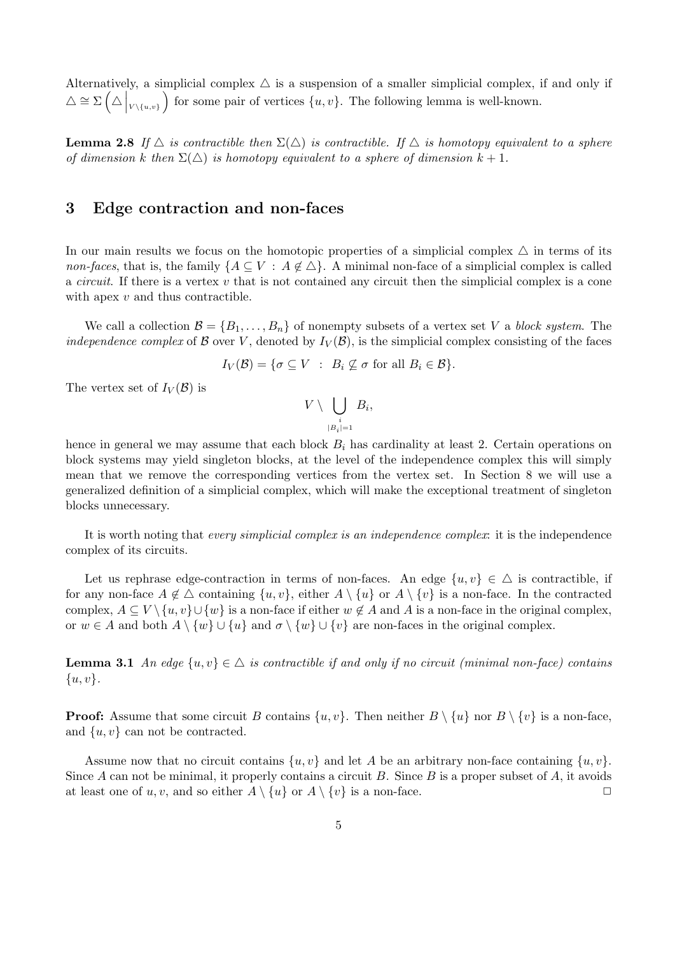Alternatively, a simplicial complex  $\triangle$  is a suspension of a smaller simplicial complex, if and only if  $\triangle \cong \Sigma \left(\triangle \bigg|_{V \setminus \{u,v\}}\right)$ for some pair of vertices  $\{u, v\}$ . The following lemma is well-known.

**Lemma 2.8** If  $\triangle$  is contractible then  $\Sigma(\triangle)$  is contractible. If  $\triangle$  is homotopy equivalent to a sphere of dimension k then  $\Sigma(\triangle)$  is homotopy equivalent to a sphere of dimension  $k+1$ .

### 3 Edge contraction and non-faces

In our main results we focus on the homotopic properties of a simplicial complex  $\triangle$  in terms of its non-faces, that is, the family  $\{A \subseteq V : A \notin \triangle\}$ . A minimal non-face of a simplicial complex is called a *circuit*. If there is a vertex  $v$  that is not contained any circuit then the simplicial complex is a cone with apex  $v$  and thus contractible.

We call a collection  $\mathcal{B} = \{B_1, \ldots, B_n\}$  of nonempty subsets of a vertex set V a block system. The *independence complex* of B over V, denoted by  $I_V(\mathcal{B})$ , is the simplicial complex consisting of the faces

$$
I_V(\mathcal{B}) = \{ \sigma \subseteq V : B_i \nsubseteq \sigma \text{ for all } B_i \in \mathcal{B} \}.
$$

The vertex set of  $I_V(\mathcal{B})$  is

$$
V\setminus \bigcup_{\substack{i\\|B_i|=1}} B_i,
$$

hence in general we may assume that each block  $B_i$  has cardinality at least 2. Certain operations on block systems may yield singleton blocks, at the level of the independence complex this will simply mean that we remove the corresponding vertices from the vertex set. In Section 8 we will use a generalized definition of a simplicial complex, which will make the exceptional treatment of singleton blocks unnecessary.

It is worth noting that every simplicial complex is an independence complex: it is the independence complex of its circuits.

Let us rephrase edge-contraction in terms of non-faces. An edge  $\{u, v\} \in \Delta$  is contractible, if for any non-face  $A \notin \Delta$  containing  $\{u, v\}$ , either  $A \setminus \{u\}$  or  $A \setminus \{v\}$  is a non-face. In the contracted complex,  $A \subseteq V \setminus \{u, v\} \cup \{w\}$  is a non-face if either  $w \notin A$  and A is a non-face in the original complex, or  $w \in A$  and both  $A \setminus \{w\} \cup \{u\}$  and  $\sigma \setminus \{w\} \cup \{v\}$  are non-faces in the original complex.

**Lemma 3.1** An edge  $\{u, v\} \in \Delta$  is contractible if and only if no circuit (minimal non-face) contains  $\{u, v\}.$ 

**Proof:** Assume that some circuit B contains  $\{u, v\}$ . Then neither  $B \setminus \{u\}$  nor  $B \setminus \{v\}$  is a non-face, and  $\{u, v\}$  can not be contracted.

Assume now that no circuit contains  $\{u, v\}$  and let A be an arbitrary non-face containing  $\{u, v\}$ . Since A can not be minimal, it properly contains a circuit B. Since B is a proper subset of A, it avoids at least one of u, v, and so either  $A \setminus \{u\}$  or  $A \setminus \{v\}$  is a non-face.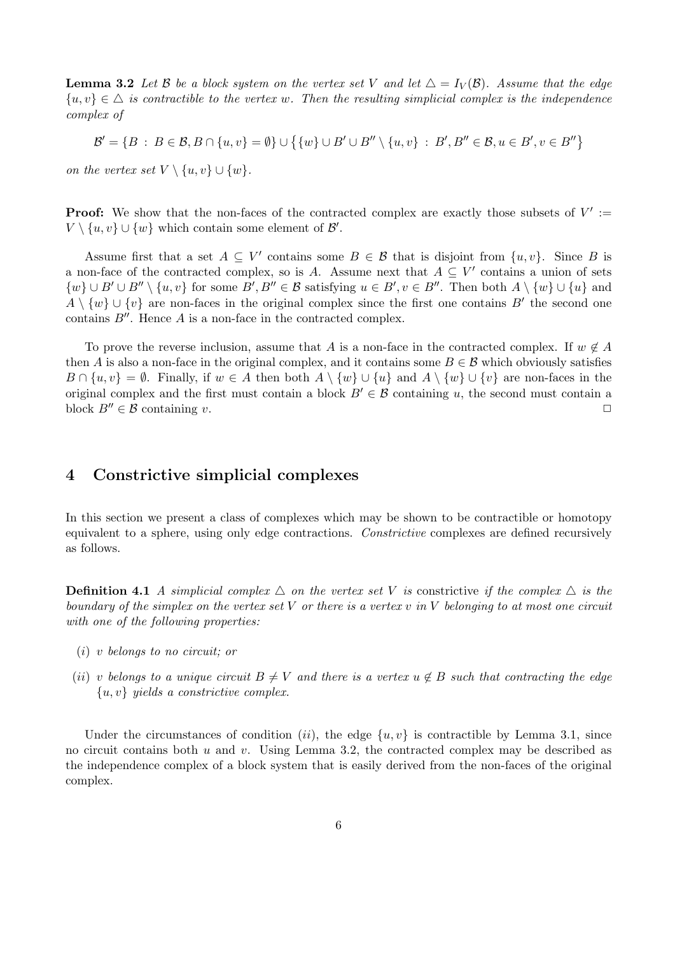**Lemma 3.2** Let B be a block system on the vertex set V and let  $\Delta = I_V(\mathcal{B})$ . Assume that the edge  $\{u, v\} \in \Delta$  is contractible to the vertex w. Then the resulting simplicial complex is the independence complex of

$$
\mathcal{B}' = \{ B : B \in \mathcal{B}, B \cap \{u, v\} = \emptyset \} \cup \{ \{w\} \cup B' \cup B'' \setminus \{u, v\} : B', B'' \in \mathcal{B}, u \in B', v \in B'' \}
$$

on the vertex set  $V \setminus \{u, v\} \cup \{w\}.$ 

**Proof:** We show that the non-faces of the contracted complex are exactly those subsets of  $V' :=$  $V \setminus \{u, v\} \cup \{w\}$  which contain some element of  $\mathcal{B}'$ .

Assume first that a set  $A \subseteq V'$  contains some  $B \in \mathcal{B}$  that is disjoint from  $\{u, v\}$ . Since B is a non-face of the contracted complex, so is A. Assume next that  $A \subseteq V'$  contains a union of sets  $\{w\} \cup B' \cup B'' \setminus \{u, v\}$  for some  $B', B'' \in \mathcal{B}$  satisfying  $u \in B', v \in B''$ . Then both  $A \setminus \{w\} \cup \{u\}$  and  $A \setminus \{w\} \cup \{v\}$  are non-faces in the original complex since the first one contains B' the second one contains  $B''$ . Hence A is a non-face in the contracted complex.

To prove the reverse inclusion, assume that A is a non-face in the contracted complex. If  $w \notin A$ then A is also a non-face in the original complex, and it contains some  $B \in \mathcal{B}$  which obviously satisfies  $B \cap \{u, v\} = \emptyset$ . Finally, if  $w \in A$  then both  $A \setminus \{w\} \cup \{u\}$  and  $A \setminus \{w\} \cup \{v\}$  are non-faces in the original complex and the first must contain a block  $B' \in \mathcal{B}$  containing u, the second must contain a block  $B'' \in \mathcal{B}$  containing v.

### 4 Constrictive simplicial complexes

In this section we present a class of complexes which may be shown to be contractible or homotopy equivalent to a sphere, using only edge contractions. Constrictive complexes are defined recursively as follows.

**Definition 4.1** A simplicial complex  $\triangle$  on the vertex set V is constrictive if the complex  $\triangle$  is the boundary of the simplex on the vertex set  $V$  or there is a vertex  $v$  in  $V$  belonging to at most one circuit with one of the following properties:

- (i) v belongs to no circuit; or
- (ii) v belongs to a unique circuit  $B \neq V$  and there is a vertex  $u \notin B$  such that contracting the edge  ${u, v}$  yields a constrictive complex.

Under the circumstances of condition (ii), the edge  $\{u, v\}$  is contractible by Lemma 3.1, since no circuit contains both  $u$  and  $v$ . Using Lemma 3.2, the contracted complex may be described as the independence complex of a block system that is easily derived from the non-faces of the original complex.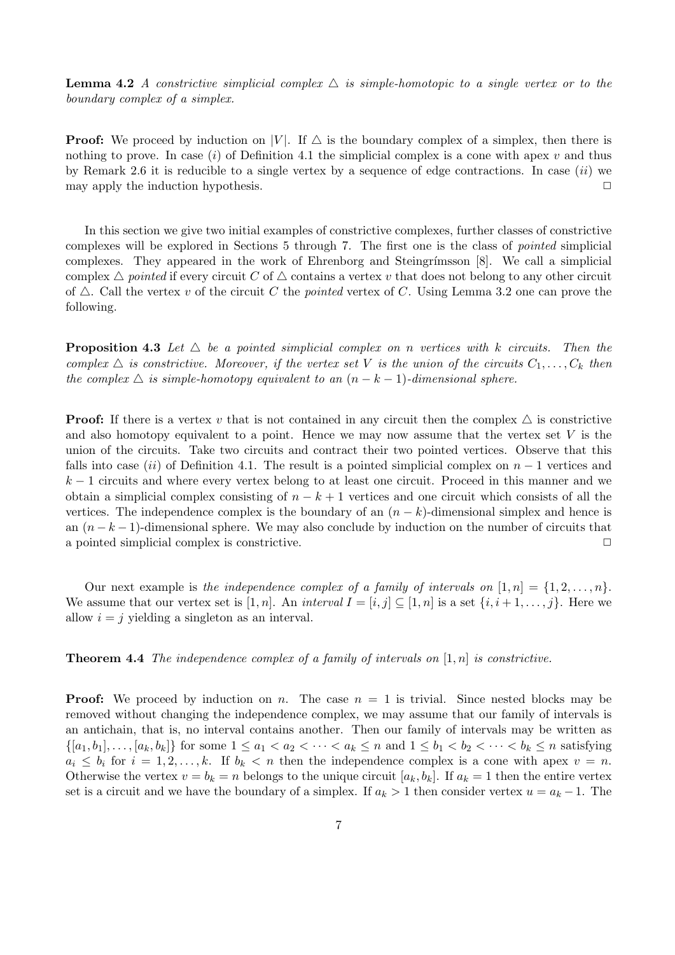**Lemma 4.2** A constrictive simplicial complex  $\triangle$  is simple-homotopic to a single vertex or to the boundary complex of a simplex.

**Proof:** We proceed by induction on |V|. If  $\triangle$  is the boundary complex of a simplex, then there is nothing to prove. In case (i) of Definition 4.1 the simplicial complex is a cone with apex v and thus by Remark 2.6 it is reducible to a single vertex by a sequence of edge contractions. In case  $(ii)$  we may apply the induction hypothesis.  $\Box$ 

In this section we give two initial examples of constrictive complexes, further classes of constrictive complexes will be explored in Sections 5 through 7. The first one is the class of pointed simplicial complexes. They appeared in the work of Ehrenborg and Steingrímsson  $[8]$ . We call a simplicial complex  $\triangle$  pointed if every circuit C of  $\triangle$  contains a vertex v that does not belong to any other circuit of  $\triangle$ . Call the vertex v of the circuit C the pointed vertex of C. Using Lemma 3.2 one can prove the following.

**Proposition 4.3** Let  $\triangle$  be a pointed simplicial complex on n vertices with k circuits. Then the complex  $\triangle$  is constrictive. Moreover, if the vertex set V is the union of the circuits  $C_1, \ldots, C_k$  then the complex  $\Delta$  is simple-homotopy equivalent to an  $(n - k - 1)$ -dimensional sphere.

**Proof:** If there is a vertex v that is not contained in any circuit then the complex  $\triangle$  is constrictive and also homotopy equivalent to a point. Hence we may now assume that the vertex set  $V$  is the union of the circuits. Take two circuits and contract their two pointed vertices. Observe that this falls into case (ii) of Definition 4.1. The result is a pointed simplicial complex on  $n-1$  vertices and  $k-1$  circuits and where every vertex belong to at least one circuit. Proceed in this manner and we obtain a simplicial complex consisting of  $n - k + 1$  vertices and one circuit which consists of all the vertices. The independence complex is the boundary of an  $(n - k)$ -dimensional simplex and hence is an  $(n - k - 1)$ -dimensional sphere. We may also conclude by induction on the number of circuits that a pointed simplicial complex is constrictive.  $\Box$ 

Our next example is the independence complex of a family of intervals on  $[1, n] = \{1, 2, \ldots, n\}$ . We assume that our vertex set is [1, n]. An interval  $I = [i, j] \subseteq [1, n]$  is a set  $\{i, i+1, \ldots, j\}$ . Here we allow  $i = j$  yielding a singleton as an interval.

**Theorem 4.4** The independence complex of a family of intervals on  $[1, n]$  is constrictive.

**Proof:** We proceed by induction on n. The case  $n = 1$  is trivial. Since nested blocks may be removed without changing the independence complex, we may assume that our family of intervals is an antichain, that is, no interval contains another. Then our family of intervals may be written as  $\{[a_1,b_1],\ldots,[a_k,b_k]\}\$ for some  $1 \leq a_1 < a_2 < \cdots < a_k \leq n$  and  $1 \leq b_1 < b_2 < \cdots < b_k \leq n$  satisfying  $a_i \leq b_i$  for  $i = 1, 2, \ldots, k$ . If  $b_k < n$  then the independence complex is a cone with apex  $v = n$ . Otherwise the vertex  $v = b_k = n$  belongs to the unique circuit  $[a_k, b_k]$ . If  $a_k = 1$  then the entire vertex set is a circuit and we have the boundary of a simplex. If  $a_k > 1$  then consider vertex  $u = a_k - 1$ . The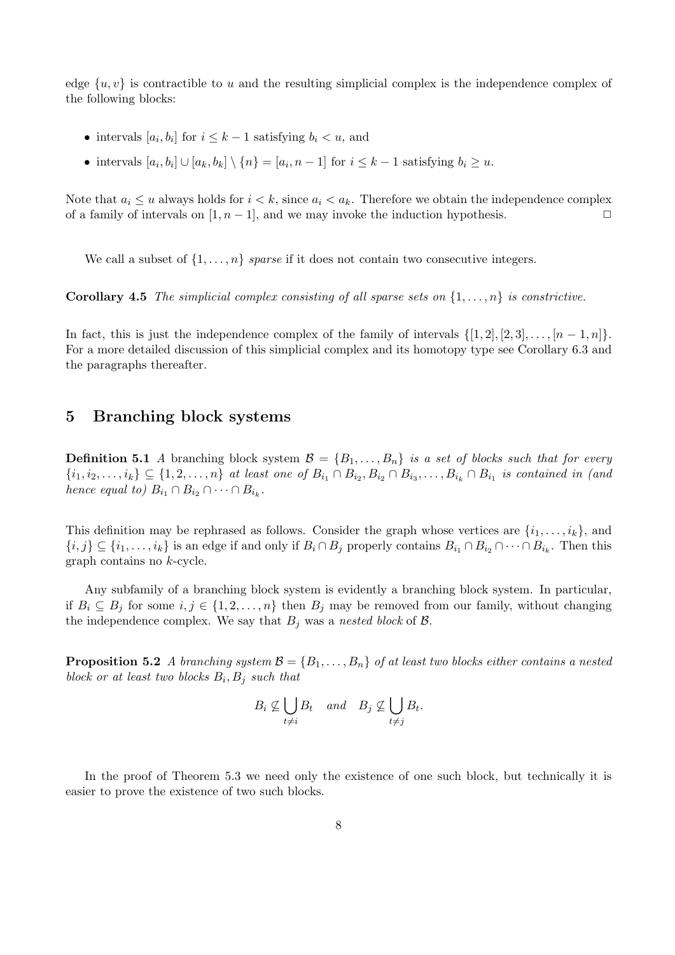edge  $\{u, v\}$  is contractible to u and the resulting simplicial complex is the independence complex of the following blocks:

- intervals  $[a_i, b_i]$  for  $i \leq k-1$  satisfying  $b_i < u$ , and
- intervals  $[a_i, b_i] \cup [a_k, b_k] \setminus \{n\} = [a_i, n-1]$  for  $i \leq k-1$  satisfying  $b_i \geq u$ .

Note that  $a_i \leq u$  always holds for  $i < k$ , since  $a_i < a_k$ . Therefore we obtain the independence complex of a family of intervals on  $[1, n - 1]$ , and we may invoke the induction hypothesis.  $\Box$ 

We call a subset of  $\{1, \ldots, n\}$  sparse if it does not contain two consecutive integers.

**Corollary 4.5** The simplicial complex consisting of all sparse sets on  $\{1, \ldots, n\}$  is constrictive.

In fact, this is just the independence complex of the family of intervals  $\{[1, 2], [2, 3], \ldots, [n-1, n]\}.$ For a more detailed discussion of this simplicial complex and its homotopy type see Corollary 6.3 and the paragraphs thereafter.

### 5 Branching block systems

**Definition 5.1** A branching block system  $\mathcal{B} = \{B_1, \ldots, B_n\}$  is a set of blocks such that for every  $\{i_1,i_2,\ldots,i_k\} \subseteq \{1,2,\ldots,n\}$  at least one of  $B_{i_1} \cap B_{i_2}, B_{i_2} \cap B_{i_3},\ldots,B_{i_k} \cap B_{i_1}$  is contained in (and hence equal to)  $B_{i_1} \cap B_{i_2} \cap \cdots \cap B_{i_k}$ .

This definition may be rephrased as follows. Consider the graph whose vertices are  $\{i_1, \ldots, i_k\}$ , and  $\{i, j\} \subseteq \{i_1, \ldots, i_k\}$  is an edge if and only if  $B_i \cap B_j$  properly contains  $B_{i_1} \cap B_{i_2} \cap \cdots \cap B_{i_k}$ . Then this graph contains no k-cycle.

Any subfamily of a branching block system is evidently a branching block system. In particular, if  $B_i \subseteq B_j$  for some  $i, j \in \{1, 2, ..., n\}$  then  $B_j$  may be removed from our family, without changing the independence complex. We say that  $B_j$  was a nested block of  $\mathcal{B}$ .

**Proposition 5.2** A branching system  $\mathcal{B} = \{B_1, \ldots, B_n\}$  of at least two blocks either contains a nested block or at least two blocks  $B_i, B_j$  such that

$$
B_i \not\subseteq \bigcup_{t \neq i} B_t \quad and \quad B_j \not\subseteq \bigcup_{t \neq j} B_t.
$$

In the proof of Theorem 5.3 we need only the existence of one such block, but technically it is easier to prove the existence of two such blocks.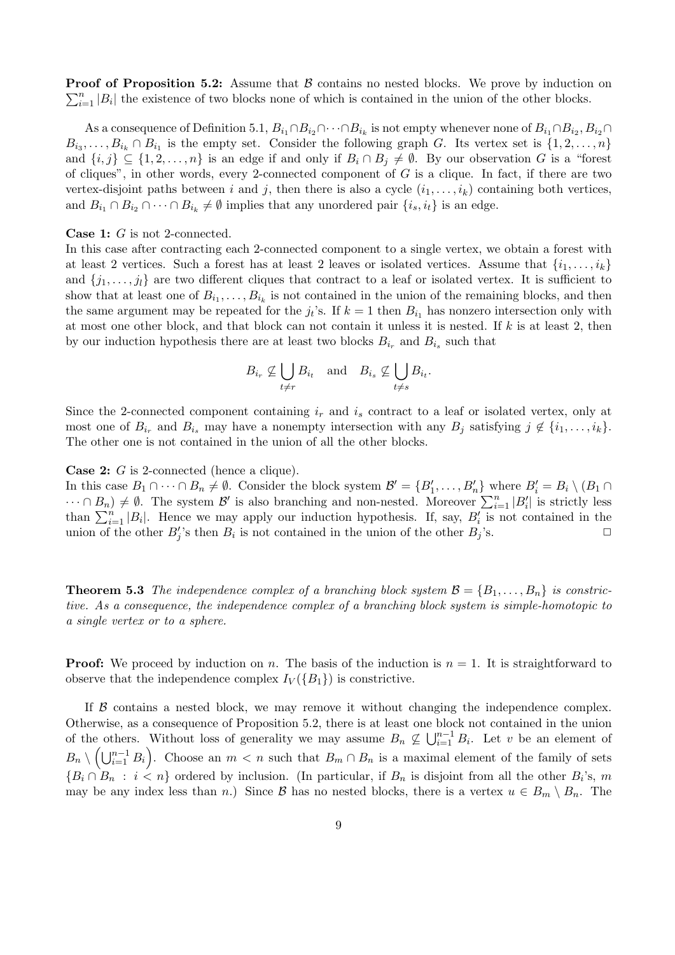$\sum_{i=1}^{n} |B_i|$  the existence of two blocks none of which is contained in the union of the other blocks. **Proof of Proposition 5.2:** Assume that  $\beta$  contains no nested blocks. We prove by induction on

As a consequence of Definition 5.1,  $B_{i_1} \cap B_{i_2} \cap \cdots \cap B_{i_k}$  is not empty whenever none of  $B_{i_1} \cap B_{i_2}$ ,  $B_{i_2} \cap$  $B_{i_3}, \ldots, B_{i_k} \cap B_{i_1}$  is the empty set. Consider the following graph G. Its vertex set is  $\{1, 2, \ldots, n\}$ and  $\{i, j\} \subseteq \{1, 2, \ldots, n\}$  is an edge if and only if  $B_i \cap B_j \neq \emptyset$ . By our observation G is a "forest" of cliques", in other words, every 2-connected component of  $G$  is a clique. In fact, if there are two vertex-disjoint paths between i and j, then there is also a cycle  $(i_1, \ldots, i_k)$  containing both vertices, and  $B_{i_1} \cap B_{i_2} \cap \cdots \cap B_{i_k} \neq \emptyset$  implies that any unordered pair  $\{i_s, i_t\}$  is an edge.

#### Case 1: G is not 2-connected.

In this case after contracting each 2-connected component to a single vertex, we obtain a forest with at least 2 vertices. Such a forest has at least 2 leaves or isolated vertices. Assume that  $\{i_1, \ldots, i_k\}$ and  $\{j_1, \ldots, j_l\}$  are two different cliques that contract to a leaf or isolated vertex. It is sufficient to show that at least one of  $B_{i_1}, \ldots, B_{i_k}$  is not contained in the union of the remaining blocks, and then the same argument may be repeated for the  $j_t$ 's. If  $k = 1$  then  $B_{i_1}$  has nonzero intersection only with at most one other block, and that block can not contain it unless it is nested. If  $k$  is at least 2, then by our induction hypothesis there are at least two blocks  $B_{i_r}$  and  $B_{i_s}$  such that

$$
B_{i_r} \not\subseteq \bigcup_{t \neq r} B_{i_t} \quad \text{and} \quad B_{i_s} \not\subseteq \bigcup_{t \neq s} B_{i_t}.
$$

Since the 2-connected component containing  $i_r$  and  $i_s$  contract to a leaf or isolated vertex, only at most one of  $B_{i_r}$  and  $B_{i_s}$  may have a nonempty intersection with any  $B_j$  satisfying  $j \notin \{i_1, \ldots, i_k\}$ . The other one is not contained in the union of all the other blocks.

Case 2: G is 2-connected (hence a clique).

In this case  $B_1 \cap \cdots \cap B_n \neq \emptyset$ . Consider the block system  $\mathcal{B}' = \{B'_1, \ldots, B'_n\}$  where  $B'_i = B_i \setminus (B_1 \cap$  $\cdots \cap B_n$ )  $\neq \emptyset$ . The system  $\mathcal{B}'$  is also branching and non-nested. Moreover  $\sum_{i=1}^n |B'_i|$  is strictly less than  $\sum_{i=1}^n |B_i|$ . Hence we may apply our induction hypothesis. If, say,  $B_i$  is not contained in the union of the other  $B'_j$ 's then  $B_i$  is not contained in the union of the other  $B_j$ 's.

**Theorem 5.3** The independence complex of a branching block system  $\mathcal{B} = \{B_1, \ldots, B_n\}$  is constrictive. As a consequence, the independence complex of a branching block system is simple-homotopic to a single vertex or to a sphere.

**Proof:** We proceed by induction on n. The basis of the induction is  $n = 1$ . It is straightforward to observe that the independence complex  $I_V({B_1})$  is constrictive.

If  $\beta$  contains a nested block, we may remove it without changing the independence complex. Otherwise, as a consequence of Proposition 5.2, there is at least one block not contained in the union of the others. Without loss of generality we may assume  $B_n \nsubseteq \bigcup_{i=1}^{n-1} B_i$ . Let v be an element of  $B_n \setminus \left(\bigcup_{i=1}^{n-1} B_i\right)$ . Choose an  $m < n$  such that  $B_m \cap B_n$  is a maximal element of the family of sets  ${B_i \cap B_n : i < n}$  ordered by inclusion. (In particular, if  $B_n$  is disjoint from all the other  $B_i$ 's, m may be any index less than n.) Since B has no nested blocks, there is a vertex  $u \in B_m \setminus B_n$ . The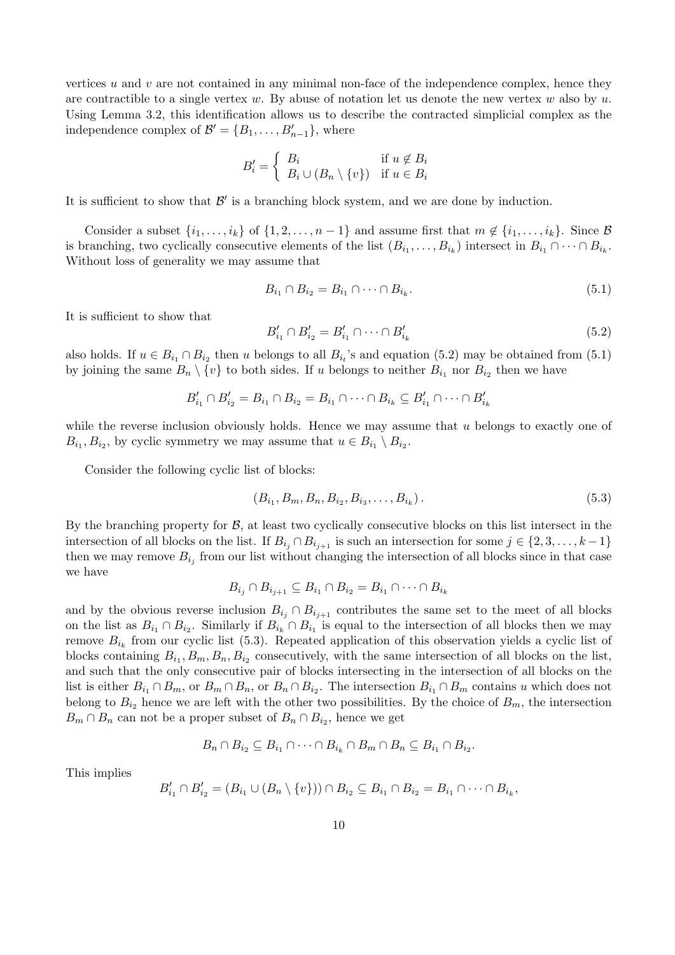vertices  $u$  and  $v$  are not contained in any minimal non-face of the independence complex, hence they are contractible to a single vertex w. By abuse of notation let us denote the new vertex w also by u. Using Lemma 3.2, this identification allows us to describe the contracted simplicial complex as the independence complex of  $\mathcal{B}' = \{B_1, \ldots, B_{n-1}'\}$ , where

$$
B'_{i} = \begin{cases} B_{i} & \text{if } u \notin B_{i} \\ B_{i} \cup (B_{n} \setminus \{v\}) & \text{if } u \in B_{i} \end{cases}
$$

It is sufficient to show that  $\mathcal{B}'$  is a branching block system, and we are done by induction.

Consider a subset  $\{i_1, \ldots, i_k\}$  of  $\{1, 2, \ldots, n-1\}$  and assume first that  $m \notin \{i_1, \ldots, i_k\}$ . Since  $\beta$ is branching, two cyclically consecutive elements of the list  $(B_{i_1},...,B_{i_k})$  intersect in  $B_{i_1} \cap \cdots \cap B_{i_k}$ . Without loss of generality we may assume that

$$
B_{i_1} \cap B_{i_2} = B_{i_1} \cap \dots \cap B_{i_k}.\tag{5.1}
$$

It is sufficient to show that

$$
B'_{i_1} \cap B'_{i_2} = B'_{i_1} \cap \dots \cap B'_{i_k}
$$
\n
$$
(5.2)
$$

also holds. If  $u \in B_{i_1} \cap B_{i_2}$  then u belongs to all  $B_{i_t}$ 's and equation (5.2) may be obtained from (5.1) by joining the same  $B_n \setminus \{v\}$  to both sides. If u belongs to neither  $B_{i_1}$  nor  $B_{i_2}$  then we have

$$
B'_{i_1} \cap B'_{i_2} = B_{i_1} \cap B_{i_2} = B_{i_1} \cap \dots \cap B_{i_k} \subseteq B'_{i_1} \cap \dots \cap B'_{i_k}
$$

while the reverse inclusion obviously holds. Hence we may assume that  $u$  belongs to exactly one of  $B_{i_1}, B_{i_2}$ , by cyclic symmetry we may assume that  $u \in B_{i_1} \setminus B_{i_2}$ .

Consider the following cyclic list of blocks:

$$
(B_{i_1}, B_m, B_n, B_{i_2}, B_{i_3}, \dots, B_{i_k}).
$$
\n
$$
(5.3)
$$

By the branching property for  $B$ , at least two cyclically consecutive blocks on this list intersect in the intersection of all blocks on the list. If  $B_{i_j} \cap B_{i_{j+1}}$  is such an intersection for some  $j \in \{2, 3, \ldots, k-1\}$ then we may remove  $B_{i_j}$  from our list without changing the intersection of all blocks since in that case we have

$$
B_{i_j} \cap B_{i_{j+1}} \subseteq B_{i_1} \cap B_{i_2} = B_{i_1} \cap \dots \cap B_{i_k}
$$

and by the obvious reverse inclusion  $B_{i_j} \cap B_{i_{j+1}}$  contributes the same set to the meet of all blocks on the list as  $B_{i_1} \cap B_{i_2}$ . Similarly if  $B_{i_k} \cap B_{i_1}$  is equal to the intersection of all blocks then we may remove  $B_{i_k}$  from our cyclic list (5.3). Repeated application of this observation yields a cyclic list of blocks containing  $B_{i_1}, B_m, B_n, B_{i_2}$  consecutively, with the same intersection of all blocks on the list, and such that the only consecutive pair of blocks intersecting in the intersection of all blocks on the list is either  $B_{i_1} \cap B_m$ , or  $B_m \cap B_n$ , or  $B_n \cap B_{i_2}$ . The intersection  $B_{i_1} \cap B_m$  contains u which does not belong to  $B_{i_2}$  hence we are left with the other two possibilities. By the choice of  $B_m$ , the intersection  $B_m \cap B_n$  can not be a proper subset of  $B_n \cap B_{i_2}$ , hence we get

$$
B_n \cap B_{i_2} \subseteq B_{i_1} \cap \cdots \cap B_{i_k} \cap B_m \cap B_n \subseteq B_{i_1} \cap B_{i_2}.
$$

This implies

$$
B'_{i_1} \cap B'_{i_2} = (B_{i_1} \cup (B_n \setminus \{v\})) \cap B_{i_2} \subseteq B_{i_1} \cap B_{i_2} = B_{i_1} \cap \cdots \cap B_{i_k},
$$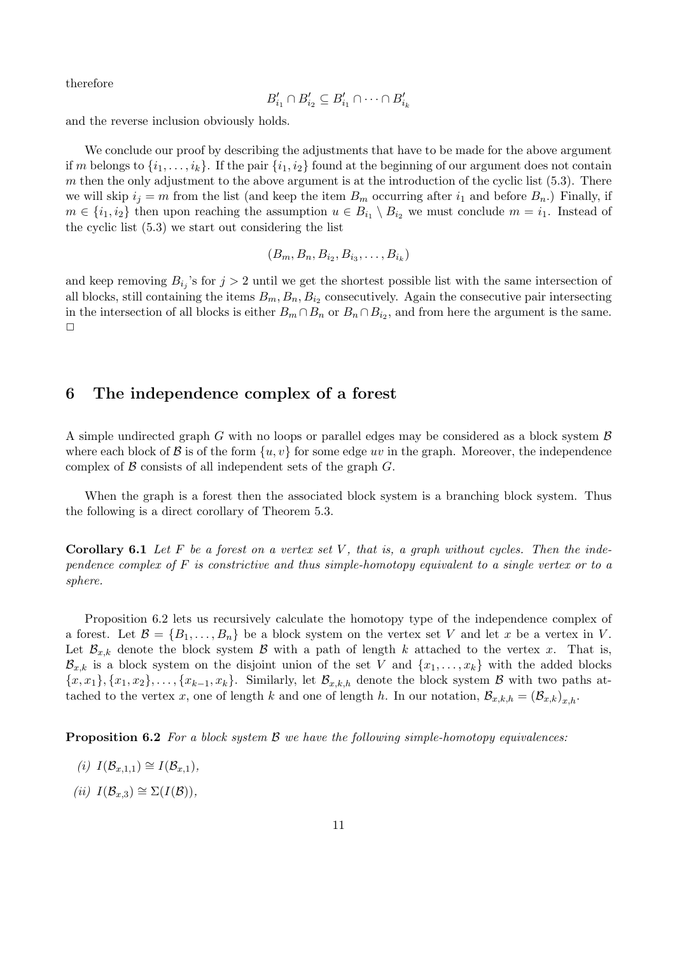therefore

$$
B'_{i_1} \cap B'_{i_2} \subseteq B'_{i_1} \cap \cdots \cap B'_{i_k}
$$

and the reverse inclusion obviously holds.

We conclude our proof by describing the adjustments that have to be made for the above argument if m belongs to  $\{i_1,\ldots,i_k\}$ . If the pair  $\{i_1,i_2\}$  found at the beginning of our argument does not contain m then the only adjustment to the above argument is at the introduction of the cyclic list  $(5.3)$ . There we will skip  $i_j = m$  from the list (and keep the item  $B_m$  occurring after  $i_1$  and before  $B_n$ .) Finally, if  $m \in \{i_1, i_2\}$  then upon reaching the assumption  $u \in B_{i_1} \setminus B_{i_2}$  we must conclude  $m = i_1$ . Instead of the cyclic list (5.3) we start out considering the list

$$
(B_m, B_n, B_{i_2}, B_{i_3}, \ldots, B_{i_k})
$$

and keep removing  $B_{i_j}$ 's for  $j > 2$  until we get the shortest possible list with the same intersection of all blocks, still containing the items  $B_m, B_n, B_{i_2}$  consecutively. Again the consecutive pair intersecting in the intersection of all blocks is either  $B_m \cap B_n$  or  $B_n \cap B_{i_2}$ , and from here the argument is the same.  $\Box$ 

### 6 The independence complex of a forest

A simple undirected graph G with no loops or parallel edges may be considered as a block system  $\beta$ where each block of B is of the form  $\{u, v\}$  for some edge uv in the graph. Moreover, the independence complex of  $\beta$  consists of all independent sets of the graph  $G$ .

When the graph is a forest then the associated block system is a branching block system. Thus the following is a direct corollary of Theorem 5.3.

**Corollary 6.1** Let F be a forest on a vertex set V, that is, a graph without cycles. Then the independence complex of  $F$  is constrictive and thus simple-homotopy equivalent to a single vertex or to a sphere.

Proposition 6.2 lets us recursively calculate the homotopy type of the independence complex of a forest. Let  $\mathcal{B} = \{B_1, \ldots, B_n\}$  be a block system on the vertex set V and let x be a vertex in V. Let  $\mathcal{B}_{x,k}$  denote the block system  $\mathcal B$  with a path of length k attached to the vertex x. That is,  $\mathcal{B}_{x,k}$  is a block system on the disjoint union of the set V and  $\{x_1, \ldots, x_k\}$  with the added blocks  ${x, x_1}, {x_1, x_2}, \ldots, {x_{k-1}, x_k}.$  Similarly, let  $\mathcal{B}_{x,k,h}$  denote the block system  $\beta$  with two paths attached to the vertex x, one of length k and one of length h. In our notation,  $\mathcal{B}_{x,k,h} = (\mathcal{B}_{x,k})_{x,h}$ .

**Proposition 6.2** For a block system  $\beta$  we have the following simple-homotopy equivalences:

- (i)  $I(\mathcal{B}_{x,1,1}) \cong I(\mathcal{B}_{x,1}),$
- (ii)  $I(\mathcal{B}_{x,3}) \cong \Sigma(I(\mathcal{B})),$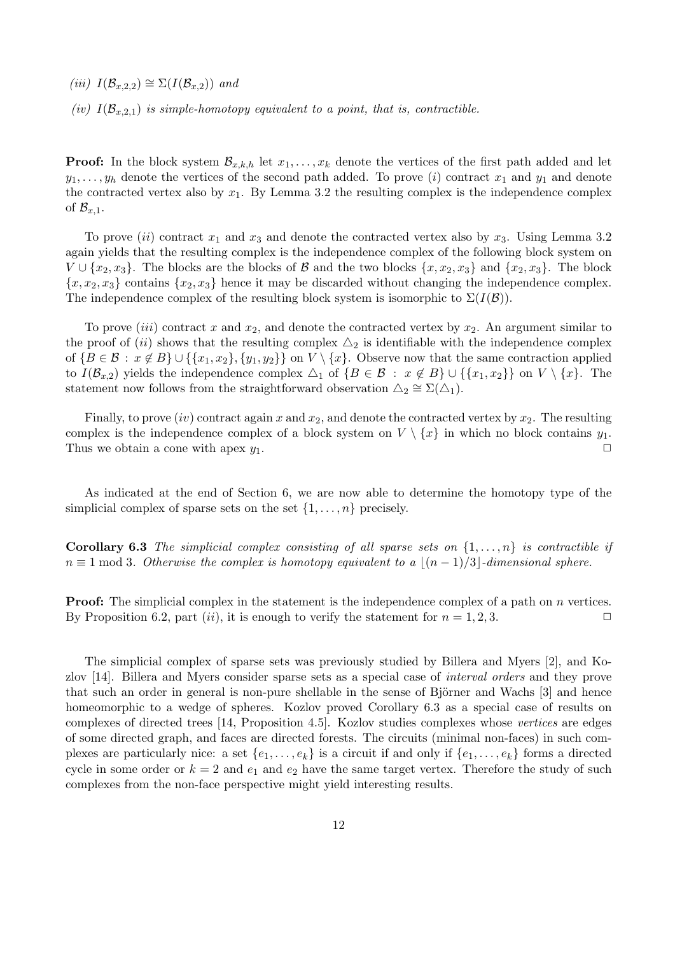(iii)  $I(\mathcal{B}_{x,2,2}) \cong \Sigma(I(\mathcal{B}_{x,2}))$  and

(iv)  $I(\mathcal{B}_{x,2,1})$  is simple-homotopy equivalent to a point, that is, contractible.

**Proof:** In the block system  $\mathcal{B}_{x,k,h}$  let  $x_1, \ldots, x_k$  denote the vertices of the first path added and let  $y_1, \ldots, y_h$  denote the vertices of the second path added. To prove (i) contract  $x_1$  and  $y_1$  and denote the contracted vertex also by  $x_1$ . By Lemma 3.2 the resulting complex is the independence complex of  $\mathcal{B}_{x,1}$ .

To prove (ii) contract  $x_1$  and  $x_3$  and denote the contracted vertex also by  $x_3$ . Using Lemma 3.2 again yields that the resulting complex is the independence complex of the following block system on  $V \cup \{x_2, x_3\}$ . The blocks are the blocks of  $\mathcal B$  and the two blocks  $\{x, x_2, x_3\}$  and  $\{x_2, x_3\}$ . The block  ${x, x_2, x_3}$  contains  ${x_2, x_3}$  hence it may be discarded without changing the independence complex. The independence complex of the resulting block system is isomorphic to  $\Sigma(I(\mathcal{B}))$ .

To prove *(iii)* contract x and  $x_2$ , and denote the contracted vertex by  $x_2$ . An argument similar to the proof of (ii) shows that the resulting complex  $\Delta_2$  is identifiable with the independence complex of  ${B \in \mathcal{B} : x \notin B} \cup {\{x_1, x_2\}, \{y_1, y_2\}}$  on  $V \setminus \{x\}$ . Observe now that the same contraction applied to  $I(\mathcal{B}_{x,2})$  yields the independence complex  $\triangle_1$  of  $\{B \in \mathcal{B} : x \notin B\} \cup \{\{x_1, x_2\}\}\$ on  $V \setminus \{x\}.$  The statement now follows from the straightforward observation  $\Delta_2 \cong \Sigma(\Delta_1)$ .

Finally, to prove (iv) contract again x and  $x_2$ , and denote the contracted vertex by  $x_2$ . The resulting complex is the independence complex of a block system on  $V \setminus \{x\}$  in which no block contains  $y_1$ . Thus we obtain a cone with apex  $y_1$ .

As indicated at the end of Section 6, we are now able to determine the homotopy type of the simplicial complex of sparse sets on the set  $\{1, \ldots, n\}$  precisely.

**Corollary 6.3** The simplicial complex consisting of all sparse sets on  $\{1, \ldots, n\}$  is contractible if  $n \equiv 1 \mod 3$ . Otherwise the complex is homotopy equivalent to a  $\lfloor (n - 1)/3 \rfloor$ -dimensional sphere.

**Proof:** The simplicial complex in the statement is the independence complex of a path on n vertices. By Proposition 6.2, part  $(ii)$ , it is enough to verify the statement for  $n = 1, 2, 3$ .

The simplicial complex of sparse sets was previously studied by Billera and Myers [2], and Kozlov [14]. Billera and Myers consider sparse sets as a special case of interval orders and they prove that such an order in general is non-pure shellable in the sense of Björner and Wachs  $[3]$  and hence homeomorphic to a wedge of spheres. Kozlov proved Corollary 6.3 as a special case of results on complexes of directed trees [14, Proposition 4.5]. Kozlov studies complexes whose vertices are edges of some directed graph, and faces are directed forests. The circuits (minimal non-faces) in such complexes are particularly nice: a set  $\{e_1, \ldots, e_k\}$  is a circuit if and only if  $\{e_1, \ldots, e_k\}$  forms a directed cycle in some order or  $k = 2$  and  $e_1$  and  $e_2$  have the same target vertex. Therefore the study of such complexes from the non-face perspective might yield interesting results.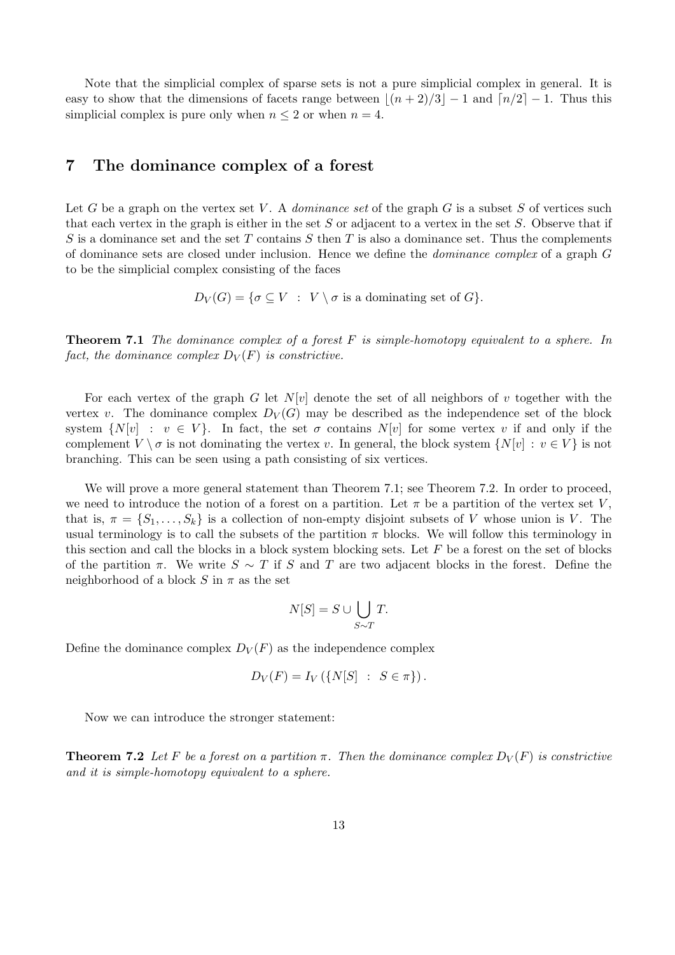Note that the simplicial complex of sparse sets is not a pure simplicial complex in general. It is easy to show that the dimensions of facets range between  $|(n + 2)/3|-1$  and  $\lfloor n/2 \rfloor - 1$ . Thus this simplicial complex is pure only when  $n \leq 2$  or when  $n = 4$ .

### 7 The dominance complex of a forest

Let G be a graph on the vertex set V. A *dominance set* of the graph  $G$  is a subset  $S$  of vertices such that each vertex in the graph is either in the set  $S$  or adjacent to a vertex in the set  $S$ . Observe that if S is a dominance set and the set T contains S then T is also a dominance set. Thus the complements of dominance sets are closed under inclusion. Hence we define the dominance complex of a graph G to be the simplicial complex consisting of the faces

 $D_V(G) = \{ \sigma \subset V : V \setminus \sigma \text{ is a dominating set of } G \}.$ 

**Theorem 7.1** The dominance complex of a forest  $F$  is simple-homotopy equivalent to a sphere. In fact, the dominance complex  $D_V(F)$  is constrictive.

For each vertex of the graph G let  $N[v]$  denote the set of all neighbors of v together with the vertex v. The dominance complex  $D_V(G)$  may be described as the independence set of the block system  $\{N[v] : v \in V\}$ . In fact, the set  $\sigma$  contains  $N[v]$  for some vertex v if and only if the complement  $V \setminus \sigma$  is not dominating the vertex v. In general, the block system  $\{N[v] : v \in V\}$  is not branching. This can be seen using a path consisting of six vertices.

We will prove a more general statement than Theorem 7.1; see Theorem 7.2. In order to proceed, we need to introduce the notion of a forest on a partition. Let  $\pi$  be a partition of the vertex set V, that is,  $\pi = \{S_1, \ldots, S_k\}$  is a collection of non-empty disjoint subsets of V whose union is V. The usual terminology is to call the subsets of the partition  $\pi$  blocks. We will follow this terminology in this section and call the blocks in a block system blocking sets. Let  $F$  be a forest on the set of blocks of the partition  $\pi$ . We write  $S \sim T$  if S and T are two adjacent blocks in the forest. Define the neighborhood of a block S in  $\pi$  as the set

$$
N[S] = S \cup \bigcup_{S \sim T} T.
$$

Define the dominance complex  $D_V(F)$  as the independence complex

$$
D_V(F) = I_V(\{N[S] : S \in \pi\}).
$$

Now we can introduce the stronger statement:

**Theorem 7.2** Let F be a forest on a partition  $\pi$ . Then the dominance complex  $D_V(F)$  is constrictive and it is simple-homotopy equivalent to a sphere.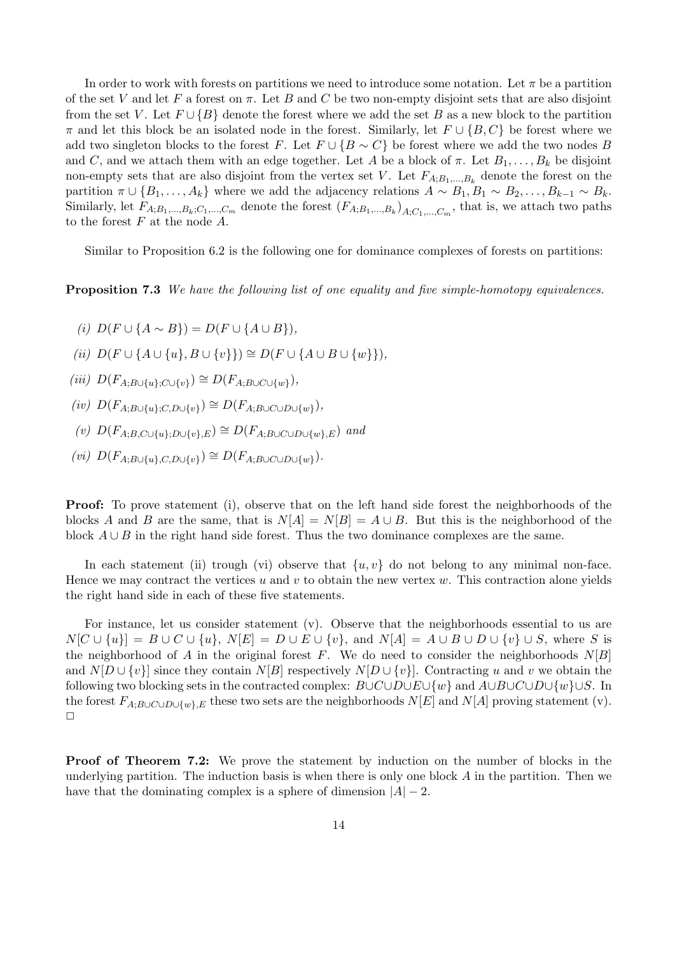In order to work with forests on partitions we need to introduce some notation. Let  $\pi$  be a partition of the set V and let F a forest on  $\pi$ . Let B and C be two non-empty disjoint sets that are also disjoint from the set V. Let  $F \cup \{B\}$  denote the forest where we add the set B as a new block to the partition  $\pi$  and let this block be an isolated node in the forest. Similarly, let  $F \cup \{B, C\}$  be forest where we add two singleton blocks to the forest F. Let  $F \cup \{B \sim C\}$  be forest where we add the two nodes B and C, and we attach them with an edge together. Let A be a block of  $\pi$ . Let  $B_1, \ldots, B_k$  be disjoint non-empty sets that are also disjoint from the vertex set V. Let  $F_{A;B_1,...,B_k}$  denote the forest on the partition  $\pi \cup \{B_1,\ldots,A_k\}$  where we add the adjacency relations  $A \sim B_1, B_1 \sim B_2, \ldots, B_{k-1} \sim B_k$ . Similarly, let  $F_{A;B_1,...,B_k;C_1,...,C_m}$  denote the forest  $(F_{A;B_1,...,B_k})_{A;C_1,...,C_m}$ , that is, we attach two paths to the forest  $F$  at the node  $A$ .

Similar to Proposition 6.2 is the following one for dominance complexes of forests on partitions:

**Proposition 7.3** We have the following list of one equality and five simple-homotopy equivalences.

- (i)  $D(F \cup \{A \sim B\}) = D(F \cup \{A \cup B\}).$
- (ii)  $D(F \cup \{A \cup \{u\}, B \cup \{v\}\}) \cong D(F \cup \{A \cup B \cup \{w\}\}).$
- (iii)  $D(F_{A;B\cup\{u\};C\cup\{v\}}) \cong D(F_{A;B\cup C\cup\{w\}})$ ,
- (iv)  $D(F_{A;B\cup\{u\};C,D\cup\{v\}}) \cong D(F_{A;B\cup C\cup D\cup\{w\}}),$
- (v)  $D(F_{A:B.C\cup\{u\}:D\cup\{v\}:E}) \cong D(F_{A:B\cup C\cup D\cup\{w\}:E})$  and
- (vi)  $D(F_{A;B\cup\{u\},C,D\cup\{v\}}) \cong D(F_{A;B\cup C\cup D\cup\{w\}}).$

**Proof:** To prove statement (i), observe that on the left hand side forest the neighborhoods of the blocks A and B are the same, that is  $N[A] = N[B] = A \cup B$ . But this is the neighborhood of the block  $A \cup B$  in the right hand side forest. Thus the two dominance complexes are the same.

In each statement (ii) trough (vi) observe that  $\{u, v\}$  do not belong to any minimal non-face. Hence we may contract the vertices  $u$  and  $v$  to obtain the new vertex  $w$ . This contraction alone yields the right hand side in each of these five statements.

For instance, let us consider statement (v). Observe that the neighborhoods essential to us are  $N[C \cup \{u\}] = B \cup C \cup \{u\}, N[E] = D \cup E \cup \{v\}, \text{ and } N[A] = A \cup B \cup D \cup \{v\} \cup S, \text{ where } S \text{ is }$ the neighborhood of A in the original forest F. We do need to consider the neighborhoods  $N[B]$ and  $N[D \cup \{v\}]$  since they contain  $N[B]$  respectively  $N[D \cup \{v\}]$ . Contracting u and v we obtain the following two blocking sets in the contracted complex:  $B\cup C\cup D\cup E\cup \{w\}$  and  $A\cup B\cup C\cup D\cup \{w\}\cup S$ . In the forest  $F_{A:B\cup C\cup D\cup \{w\}, E}$  these two sets are the neighborhoods  $N[E]$  and  $N[A]$  proving statement (v).  $\Box$ 

Proof of Theorem 7.2: We prove the statement by induction on the number of blocks in the underlying partition. The induction basis is when there is only one block  $\tilde{A}$  in the partition. Then we have that the dominating complex is a sphere of dimension  $|A| - 2$ .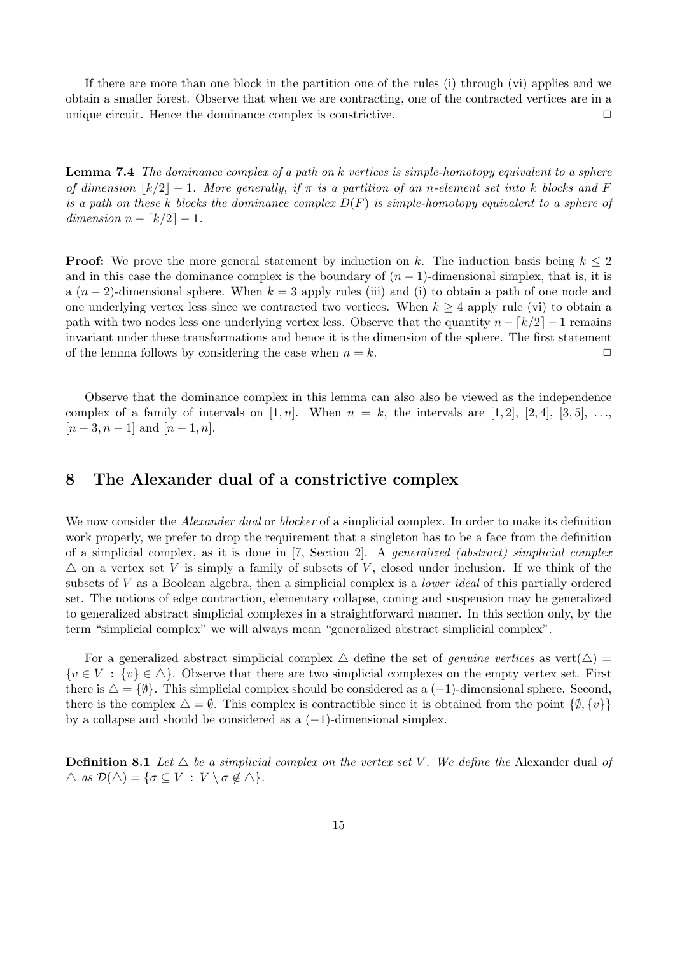If there are more than one block in the partition one of the rules (i) through (vi) applies and we obtain a smaller forest. Observe that when we are contracting, one of the contracted vertices are in a unique circuit. Hence the dominance complex is constrictive.  $\Box$ 

Lemma 7.4 The dominance complex of a path on k vertices is simple-homotopy equivalent to a sphere of dimension  $\lfloor k/2 \rfloor - 1$ . More generally, if  $\pi$  is a partition of an n-element set into k blocks and F is a path on these k blocks the dominance complex  $D(F)$  is simple-homotopy equivalent to a sphere of dimension  $n - \lfloor k/2 \rfloor - 1$ .

**Proof:** We prove the more general statement by induction on k. The induction basis being  $k \leq 2$ and in this case the dominance complex is the boundary of  $(n-1)$ -dimensional simplex, that is, it is a  $(n-2)$ -dimensional sphere. When  $k=3$  apply rules (iii) and (i) to obtain a path of one node and one underlying vertex less since we contracted two vertices. When  $k \geq 4$  apply rule (vi) to obtain a path with two nodes less one underlying vertex less. Observe that the quantity  $n - \lfloor k/2 \rfloor - 1$  remains invariant under these transformations and hence it is the dimension of the sphere. The first statement of the lemma follows by considering the case when  $n = k$ .

Observe that the dominance complex in this lemma can also also be viewed as the independence complex of a family of intervals on  $[1, n]$ . When  $n = k$ , the intervals are  $[1, 2]$ ,  $[2, 4]$ ,  $[3, 5]$ , ...  $[n-3, n-1]$  and  $[n-1, n]$ .

### 8 The Alexander dual of a constrictive complex

We now consider the *Alexander dual* or *blocker* of a simplicial complex. In order to make its definition work properly, we prefer to drop the requirement that a singleton has to be a face from the definition of a simplicial complex, as it is done in [7, Section 2]. A generalized (abstract) simplicial complex  $\triangle$  on a vertex set V is simply a family of subsets of V, closed under inclusion. If we think of the subsets of V as a Boolean algebra, then a simplicial complex is a *lower ideal* of this partially ordered set. The notions of edge contraction, elementary collapse, coning and suspension may be generalized to generalized abstract simplicial complexes in a straightforward manner. In this section only, by the term "simplicial complex" we will always mean "generalized abstract simplicial complex".

For a generalized abstract simplicial complex  $\triangle$  define the set of *genuine vertices* as vert $(\triangle)$  =  $\{v \in V : \{v\} \in \Delta\}$ . Observe that there are two simplicial complexes on the empty vertex set. First there is  $\Delta = \{\emptyset\}$ . This simplicial complex should be considered as a (-1)-dimensional sphere. Second, there is the complex  $\Delta = \emptyset$ . This complex is contractible since it is obtained from the point  $\{\emptyset, \{v\}\}\$ by a collapse and should be considered as a  $(-1)$ -dimensional simplex.

**Definition 8.1** Let  $\triangle$  be a simplicial complex on the vertex set V. We define the Alexander dual of  $\triangle$  as  $\mathcal{D}(\triangle) = {\sigma \subseteq V : V \setminus \sigma \notin \triangle}.$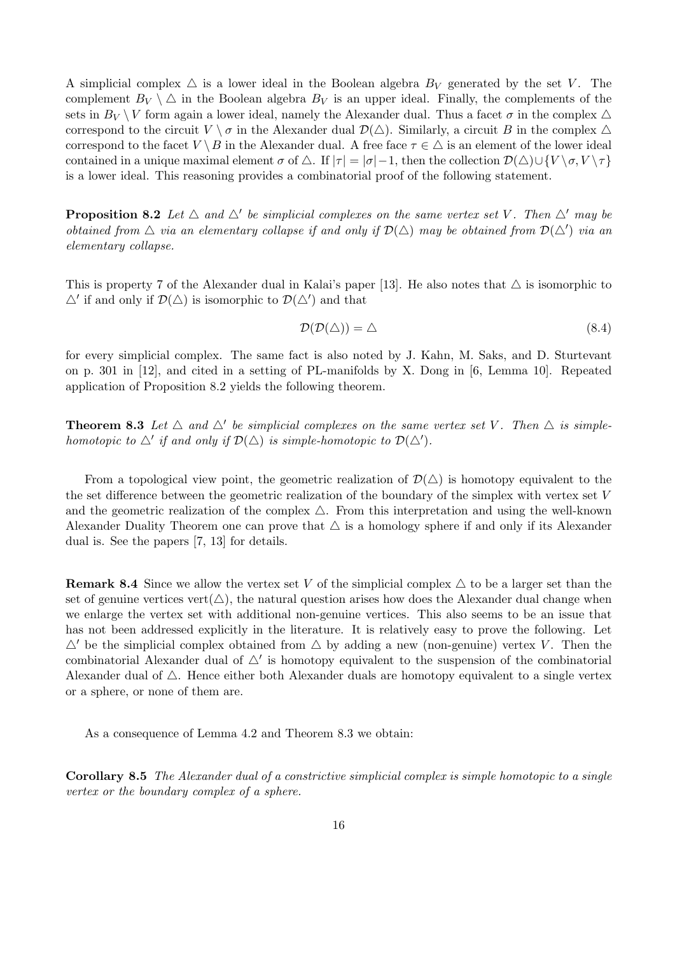A simplicial complex  $\triangle$  is a lower ideal in the Boolean algebra  $B_V$  generated by the set V. The complement  $B_V \setminus \Delta$  in the Boolean algebra  $B_V$  is an upper ideal. Finally, the complements of the sets in  $B_V \setminus V$  form again a lower ideal, namely the Alexander dual. Thus a facet  $\sigma$  in the complex  $\triangle$ correspond to the circuit  $V \setminus \sigma$  in the Alexander dual  $\mathcal{D}(\triangle)$ . Similarly, a circuit B in the complex  $\triangle$ correspond to the facet  $V \setminus B$  in the Alexander dual. A free face  $\tau \in \triangle$  is an element of the lower ideal contained in a unique maximal element  $\sigma$  of  $\Delta$ . If  $|\tau| = |\sigma| - 1$ , then the collection  $\mathcal{D}(\Delta) \cup \{V \setminus \sigma, V \setminus \tau\}$ is a lower ideal. This reasoning provides a combinatorial proof of the following statement.

**Proposition 8.2** Let  $\triangle$  and  $\triangle'$  be simplicial complexes on the same vertex set V. Then  $\triangle'$  may be obtained from  $\Delta$  via an elementary collapse if and only if  $\mathcal{D}(\Delta)$  may be obtained from  $\mathcal{D}(\Delta')$  via an elementary collapse.

This is property 7 of the Alexander dual in Kalai's paper [13]. He also notes that  $\triangle$  is isomorphic to  $\Delta'$  if and only if  $\mathcal{D}(\Delta)$  is isomorphic to  $\mathcal{D}(\Delta')$  and that

$$
\mathcal{D}(\mathcal{D}(\triangle)) = \triangle \tag{8.4}
$$

for every simplicial complex. The same fact is also noted by J. Kahn, M. Saks, and D. Sturtevant on p. 301 in [12], and cited in a setting of PL-manifolds by X. Dong in [6, Lemma 10]. Repeated application of Proposition 8.2 yields the following theorem.

**Theorem 8.3** Let  $\triangle$  and  $\triangle'$  be simplicial complexes on the same vertex set V. Then  $\triangle$  is simplehomotopic to  $\Delta'$  if and only if  $\mathcal{D}(\Delta)$  is simple-homotopic to  $\mathcal{D}(\Delta')$ .

From a topological view point, the geometric realization of  $\mathcal{D}(\triangle)$  is homotopy equivalent to the the set difference between the geometric realization of the boundary of the simplex with vertex set V and the geometric realization of the complex  $\Delta$ . From this interpretation and using the well-known Alexander Duality Theorem one can prove that  $\triangle$  is a homology sphere if and only if its Alexander dual is. See the papers [7, 13] for details.

**Remark 8.4** Since we allow the vertex set V of the simplicial complex  $\triangle$  to be a larger set than the set of genuine vertices vert( $\triangle$ ), the natural question arises how does the Alexander dual change when we enlarge the vertex set with additional non-genuine vertices. This also seems to be an issue that has not been addressed explicitly in the literature. It is relatively easy to prove the following. Let  $\Delta'$  be the simplicial complex obtained from  $\Delta$  by adding a new (non-genuine) vertex V. Then the combinatorial Alexander dual of  $\Delta'$  is homotopy equivalent to the suspension of the combinatorial Alexander dual of  $\triangle$ . Hence either both Alexander duals are homotopy equivalent to a single vertex or a sphere, or none of them are.

As a consequence of Lemma 4.2 and Theorem 8.3 we obtain:

Corollary 8.5 The Alexander dual of a constrictive simplicial complex is simple homotopic to a single vertex or the boundary complex of a sphere.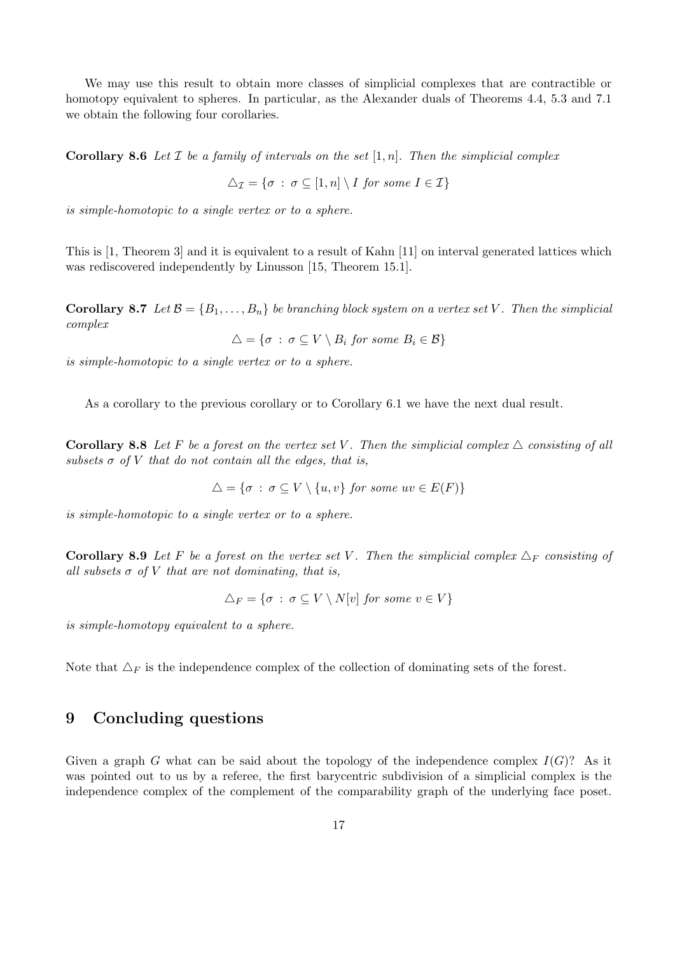We may use this result to obtain more classes of simplicial complexes that are contractible or homotopy equivalent to spheres. In particular, as the Alexander duals of Theorems 4.4, 5.3 and 7.1 we obtain the following four corollaries.

**Corollary 8.6** Let  $\mathcal I$  be a family of intervals on the set  $[1, n]$ . Then the simplicial complex

$$
\triangle_{\mathcal{I}} = \{ \sigma \, : \, \sigma \subseteq [1, n] \setminus I \text{ for some } I \in \mathcal{I} \}
$$

is simple-homotopic to a single vertex or to a sphere.

This is [1, Theorem 3] and it is equivalent to a result of Kahn [11] on interval generated lattices which was rediscovered independently by Linusson [15, Theorem 15.1].

**Corollary 8.7** Let  $\mathcal{B} = \{B_1, \ldots, B_n\}$  be branching block system on a vertex set V. Then the simplicial complex

$$
\triangle = \{ \sigma \, : \, \sigma \subseteq V \setminus B_i \text{ for some } B_i \in \mathcal{B} \}
$$

is simple-homotopic to a single vertex or to a sphere.

As a corollary to the previous corollary or to Corollary 6.1 we have the next dual result.

**Corollary 8.8** Let F be a forest on the vertex set V. Then the simplicial complex  $\triangle$  consisting of all subsets  $\sigma$  of V that do not contain all the edges, that is,

$$
\triangle = \{ \sigma : \sigma \subseteq V \setminus \{u, v\} \text{ for some } uv \in E(F) \}
$$

is simple-homotopic to a single vertex or to a sphere.

**Corollary 8.9** Let F be a forest on the vertex set V. Then the simplicial complex  $\Delta_F$  consisting of all subsets  $\sigma$  of V that are not dominating, that is,

$$
\triangle_F = \{ \sigma \, : \, \sigma \subseteq V \setminus N[v] \text{ for some } v \in V \}
$$

is simple-homotopy equivalent to a sphere.

Note that  $\Delta_F$  is the independence complex of the collection of dominating sets of the forest.

### 9 Concluding questions

Given a graph G what can be said about the topology of the independence complex  $I(G)$ ? As it was pointed out to us by a referee, the first barycentric subdivision of a simplicial complex is the independence complex of the complement of the comparability graph of the underlying face poset.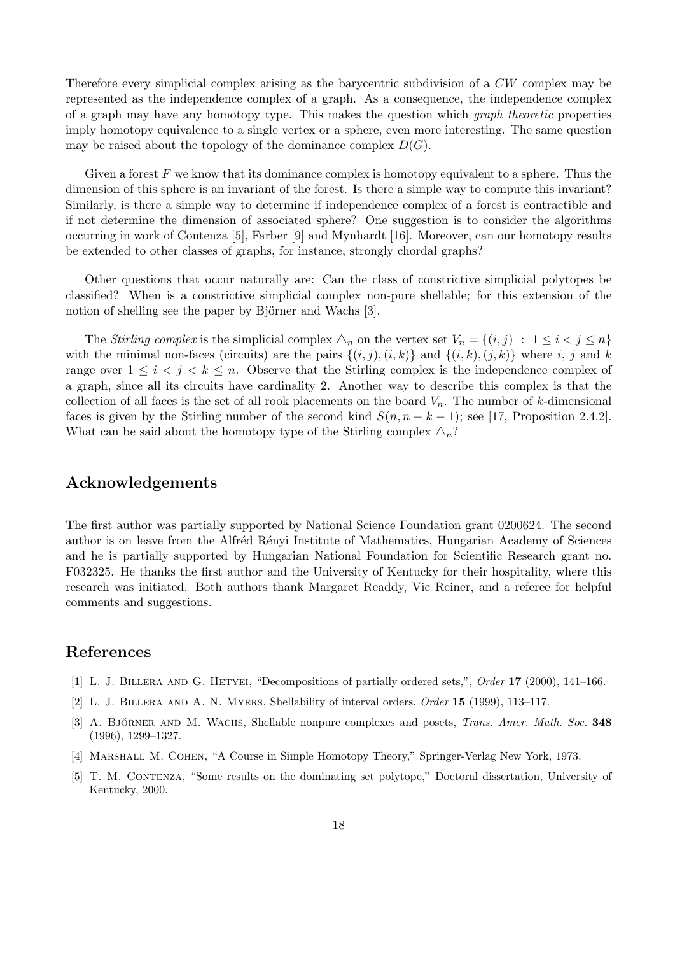Therefore every simplicial complex arising as the barycentric subdivision of a CW complex may be represented as the independence complex of a graph. As a consequence, the independence complex of a graph may have any homotopy type. This makes the question which *graph theoretic* properties imply homotopy equivalence to a single vertex or a sphere, even more interesting. The same question may be raised about the topology of the dominance complex  $D(G)$ .

Given a forest  $F$  we know that its dominance complex is homotopy equivalent to a sphere. Thus the dimension of this sphere is an invariant of the forest. Is there a simple way to compute this invariant? Similarly, is there a simple way to determine if independence complex of a forest is contractible and if not determine the dimension of associated sphere? One suggestion is to consider the algorithms occurring in work of Contenza [5], Farber [9] and Mynhardt [16]. Moreover, can our homotopy results be extended to other classes of graphs, for instance, strongly chordal graphs?

Other questions that occur naturally are: Can the class of constrictive simplicial polytopes be classified? When is a constrictive simplicial complex non-pure shellable; for this extension of the notion of shelling see the paper by Björner and Wachs [3].

The Stirling complex is the simplicial complex  $\triangle_n$  on the vertex set  $V_n = \{(i, j) : 1 \leq i < j \leq n\}$ with the minimal non-faces (circuits) are the pairs  $\{(i, j), (i, k)\}\$ and  $\{(i, k), (j, k)\}\$  where i, j and k range over  $1 \leq i \leq j \leq k \leq n$ . Observe that the Stirling complex is the independence complex of a graph, since all its circuits have cardinality 2. Another way to describe this complex is that the collection of all faces is the set of all rook placements on the board  $V_n$ . The number of k-dimensional faces is given by the Stirling number of the second kind  $S(n, n - k - 1)$ ; see [17, Proposition 2.4.2]. What can be said about the homotopy type of the Stirling complex  $\Delta_n$ ?

### Acknowledgements

The first author was partially supported by National Science Foundation grant 0200624. The second author is on leave from the Alfréd Rényi Institute of Mathematics, Hungarian Academy of Sciences and he is partially supported by Hungarian National Foundation for Scientific Research grant no. F032325. He thanks the first author and the University of Kentucky for their hospitality, where this research was initiated. Both authors thank Margaret Readdy, Vic Reiner, and a referee for helpful comments and suggestions.

## References

- [1] L. J. Billera and G. Hetyei, "Decompositions of partially ordered sets,", Order 17 (2000), 141–166.
- [2] L. J. Billera and A. N. Myers, Shellability of interval orders, Order 15 (1999), 113–117.
- [3] A. BJÖRNER AND M. WACHS, Shellable nonpure complexes and posets, *Trans. Amer. Math. Soc.* 348 (1996), 1299–1327.
- [4] Marshall M. Cohen, "A Course in Simple Homotopy Theory," Springer-Verlag New York, 1973.
- [5] T. M. CONTENZA, "Some results on the dominating set polytope," Doctoral dissertation, University of Kentucky, 2000.